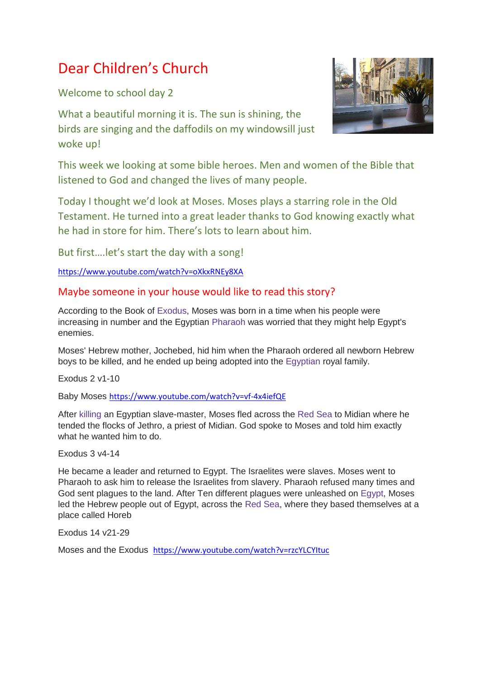## Dear Children's Church

Welcome to school day 2

What a beautiful morning it is. The sun is shining, the birds are singing and the daffodils on my windowsill just woke up!



Today I thought we'd look at Moses. Moses plays a starring role in the Old Testament. He turned into a great leader thanks to God knowing exactly what he had in store for him. There's lots to learn about him.

But first….let's start the day with a song!

<https://www.youtube.com/watch?v=oXkxRNEy8XA>

## Maybe someone in your house would like to read this story?

According to the Book of [Exodus,](https://kids.kiddle.co/Exodus) Moses was born in a time when his people were increasing in number and the Egyptian [Pharaoh](https://kids.kiddle.co/Pharaoh) was worried that they might help Egypt's enemies.

Moses' Hebrew mother, Jochebed, hid him when the Pharaoh ordered all newborn Hebrew boys to be killed, and he ended up being adopted into the [Egyptian](https://kids.kiddle.co/Ancient_Egypt) royal family.

Exodus 2 v1-10

Baby Moses <https://www.youtube.com/watch?v=vf-4x4iefQE>

After [killing](https://kids.kiddle.co/Kill) an Egyptian slave-master, Moses fled across the [Red](https://kids.kiddle.co/Red_Sea) Sea to Midian where he tended the flocks of Jethro, a priest of Midian. God spoke to Moses and told him exactly what he wanted him to do.

Exodus 3 v4-14

He became a leader and returned to Egypt. The Israelites were slaves. Moses went to Pharaoh to ask him to release the Israelites from slavery. Pharaoh refused many times and God sent plagues to the land. After Ten different plagues were unleashed on [Egypt,](https://kids.kiddle.co/Egypt) Moses led the Hebrew people out of Egypt, across the Red [Sea,](https://kids.kiddle.co/Red_Sea) where they based themselves at a place called Horeb

Exodus 14 v21-29

Moses and the Exodus <https://www.youtube.com/watch?v=rzcYLCYItuc>

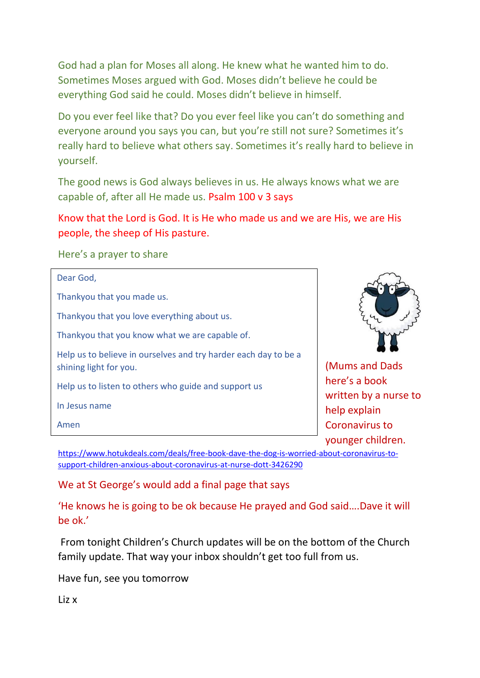God had a plan for Moses all along. He knew what he wanted him to do. Sometimes Moses argued with God. Moses didn't believe he could be everything God said he could. Moses didn't believe in himself.

Do you ever feel like that? Do you ever feel like you can't do something and everyone around you says you can, but you're still not sure? Sometimes it's really hard to believe what others say. Sometimes it's really hard to believe in yourself.

The good news is God always believes in us. He always knows what we are capable of, after all He made us. Psalm 100 v 3 says

Know that the Lord is God. It is He who made us and we are His, we are His people, the sheep of His pasture.

Here's a prayer to share

(Mums and Dads here's a book written by a nurse to help explain Coronavirus to younger children. Dear God, Thankyou that you made us. Thankyou that you love everything about us. Thankyou that you know what we are capable of. Help us to believe in ourselves and try harder each day to be a shining light for you. Help us to listen to others who guide and support us In Jesus name Amen

[https://www.hotukdeals.com/deals/free-book-dave-the-dog-is-worried-about-coronavirus-to](https://www.hotukdeals.com/deals/free-book-dave-the-dog-is-worried-about-coronavirus-to-support-children-anxious-about-coronavirus-at-nurse-dott-3426290)[support-children-anxious-about-coronavirus-at-nurse-dott-3426290](https://www.hotukdeals.com/deals/free-book-dave-the-dog-is-worried-about-coronavirus-to-support-children-anxious-about-coronavirus-at-nurse-dott-3426290)

We at St George's would add a final page that says

'He knows he is going to be ok because He prayed and God said….Dave it will be ok.'

From tonight Children's Church updates will be on the bottom of the Church family update. That way your inbox shouldn't get too full from us.

Have fun, see you tomorrow

Liz x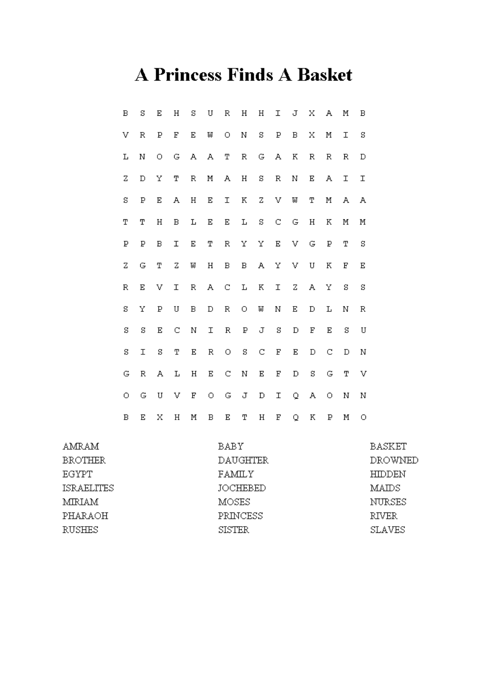## **A Princess Finds A Basket**

| В | S | Ε | Η | s | U | R | Η | Η | I | J | Χ | А | М | В |
|---|---|---|---|---|---|---|---|---|---|---|---|---|---|---|
| V | R | Б | E | Ε | M | О | N | S | Б | В | Х | Μ | Ι | S |
| L | N | О | G | А | А | Т | R | G | А | Κ | R | R | R | D |
| Z | D | Υ | Т | R | М | А | Η | s | R | N | Ε | А | I | Ι |
| S | Ρ | Ε | А | Η | Ε | I | Κ | Z | V | W | Т | Μ | А | А |
| Τ | Τ | Η | B | L | Ε | Ε | L | s | C | G | Η | Κ | М | М |
| Р | P | B | I | Ε | Т | R | Υ | Υ | E | V | G | Ρ | Т | S |
| Z | G | Τ | Z | W | Η | B | В | А | Υ | V | U | Κ | F | E |
| R | Ε | V | I | R | A | C | L | Κ | I | Z | А | Υ | S | S |
| S | Υ | Р | U | B | D | R | О | W | Ν | Ε | D | L | N | R |
| S | S | Ε | C | N | I | R | P | J | s | D | F | Ε | S | U |
| S | Ι | S | Т | Ε | R | О | s | C | F | Ε | D | С | D | N |
| G | R | А | L | Η | Ε | С | Ν | Ε | F | D | S | G | Т | V |
| O | G | U | V | F | O | G | J | D | Ι | Q | А | О | Ν | Ν |
| В | Ε | Χ | Η | М | В | Ε | Т | Η | F | Q | Κ | P | Μ | О |

| AMRAM          | BABY            | BASKET        |
|----------------|-----------------|---------------|
| <b>BROTHER</b> | <b>DAUGHTER</b> | DROWNED       |
| EGYPT          | FAMILY          | HIDDEN        |
| ISRAELITES     | JOCHEBED        | MAIDS         |
| MIRIAM         | MOSES           | NURSES        |
| PHARAOH        | PRINCESS        | RIVER         |
| RUSHES         | <b>SISTER</b>   | <b>SLAVES</b> |